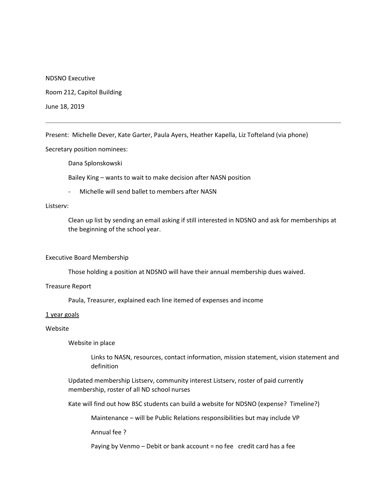NDSNO Executive

Room 212, Capitol Building

June 18, 2019

Present: Michelle Dever, Kate Garter, Paula Ayers, Heather Kapella, Liz Tofteland (via phone)

Secretary position nominees:

Dana Splonskowski

Bailey King – wants to wait to make decision after NASN position

- Michelle will send ballet to members after NASN

#### Listserv:

Clean up list by sending an email asking if still interested in NDSNO and ask for memberships at the beginning of the school year.

#### Executive Board Membership

Those holding a position at NDSNO will have their annual membership dues waived.

### Treasure Report

Paula, Treasurer, explained each line itemed of expenses and income

#### 1 year goals

#### Website

Website in place

Links to NASN, resources, contact information, mission statement, vision statement and definition

Updated membership Listserv, community interest Listserv, roster of paid currently membership, roster of all ND school nurses

Kate will find out how BSC students can build a website for NDSNO (expense? Timeline?)

Maintenance – will be Public Relations responsibilities but may include VP

Annual fee ?

Paying by Venmo – Debit or bank account = no fee credit card has a fee